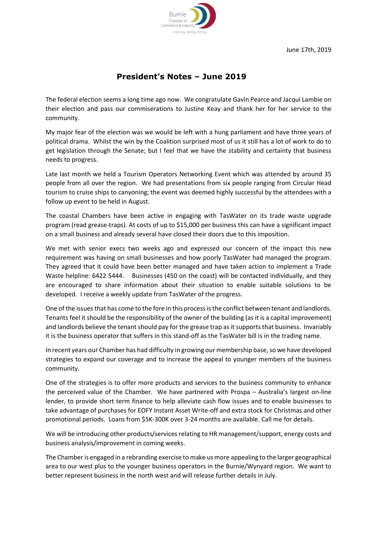

## **President's Notes – June 2019**

The federal election seems a long time ago now. We congratulate Gavin Pearce and Jacqui Lambie on their election and pass our commiserations to Justine Keay and thank her for her service to the community.

My major fear of the election was we would be left with a hung parliament and have three years of political drama. Whilst the win by the Coalition surprised most of us it still has a lot of work to do to get legislation through the Senate; but I feel that we have the stability and certainty that business needs to progress.

Late last month we held a Tourism Operators Networking Event which was attended by around 35 people from all over the region. We had presentations from six people ranging from Circular Head tourism to cruise ships to canyoning; the event was deemed highly successful by the attendees with a follow up event to be held in August.

The coastal Chambers have been active in engaging with TasWater on its trade waste upgrade program (read grease-traps). At costs of up to \$15,000 per business this can have a significant impact on a small business and already several have closed their doors due to this imposition.

We met with senior execs two weeks ago and expressed our concern of the impact this new requirement was having on small businesses and how poorly TasWater had managed the program. They agreed that it could have been better managed and have taken action to implement a Trade Waste helpline: 6422 5444. Businesses (450 on the coast) will be contacted individually, and they are encouraged to share information about their situation to enable suitable solutions to be developed. I receive a weekly update from TasWater of the progress.

One of the issues that has come to the fore in this process is the conflict between tenant and landlords. Tenants feel it should be the responsibility of the owner of the building (as it is a capital improvement) and landlords believe the tenant should pay for the grease trap as it supports that business. Invariably it is the business operator that suffers in this stand-off as the TasWater bill is in the trading name.

In recent years our Chamber has had difficulty in growing our membership base, so we have developed strategies to expand our coverage and to increase the appeal to younger members of the business community.

One of the strategies is to offer more products and services to the business community to enhance the perceived value of the Chamber. We have partnered with Prospa – Australia's largest on-line lender, to provide short term finance to help alleviate cash flow issues and to enable businesses to take advantage of purchases for EOFY Instant Asset Write-off and extra stock for Christmas and other promotional periods. Loans from \$5K-300K over 3-24 months are available. Call me for details.

We will be introducing other products/services relating to HR management/support, energy costs and business analysis/improvement in coming weeks.

The Chamber is engaged in a rebranding exercise to make us more appealing to the larger geographical area to our west plus to the younger business operators in the Burnie/Wynyard region. We want to better represent business in the north west and will release further details in July.